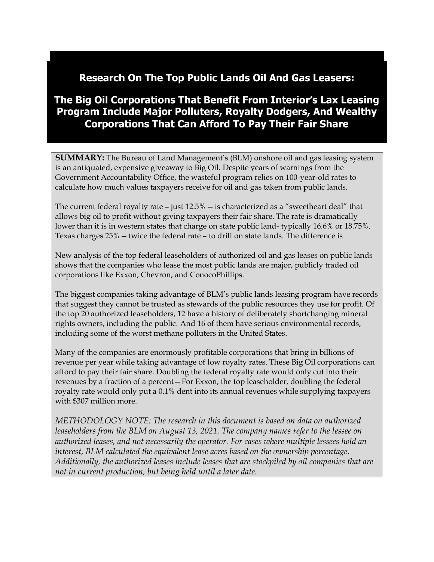## **Research On The Top Public Lands Oil And Gas Leasers:**

## **The Big Oil Corporations That Benefit From Interior's Lax Leasing Program Include Major Polluters, Royalty Dodgers, And Wealthy Corporations That Can Afford To Pay Their Fair Share**

**SUMMARY:** The Bureau of Land Management's (BLM) onshore oil and gas leasing system is an antiquated, expensive giveaway to Big Oil. Despite years of warnings from the Government Accountability Office, the wasteful program relies on 100-year-old rates to calculate how much values taxpayers receive for oil and gas taken from public lands.

The current federal royalty rate – just 12.5% -- is characterized as a "sweetheart deal" that allows big oil to profit without giving taxpayers their fair share. The rate is dramatically lower than it is in western states that charge on state public land- typically 16.6% or 18.75%. Texas charges 25% -- twice the federal rate – to drill on state lands. The difference is

New analysis of the top federal leaseholders of authorized oil and gas leases on public lands shows that the companies who lease the most public lands are major, publicly traded oil corporations like Exxon, Chevron, and ConocoPhillips.

The biggest companies taking advantage of BLM's public lands leasing program have records that suggest they cannot be trusted as stewards of the public resources they use for profit. Of the top 20 authorized leaseholders, 12 have a history of deliberately shortchanging mineral rights owners, including the public. And 16 of them have serious environmental records, including some of the worst methane polluters in the United States.

Many of the companies are enormously profitable corporations that bring in billions of revenue per year while taking advantage of low royalty rates. These Big Oil corporations can afford to pay their fair share. Doubling the federal royalty rate would only cut into their revenues by a fraction of a percent—For Exxon, the top leaseholder, doubling the federal royalty rate would only put a 0.1% dent into its annual revenues while supplying taxpayers with \$307 million more.

*METHODOLOGY NOTE: The research in this document is based on data on authorized leaseholders from the BLM on August 13, 2021. The company names refer to the lessee on authorized leases, and not necessarily the operator. For cases where multiple lessees hold an interest, BLM calculated the equivalent lease acres based on the ownership percentage. Additionally, the authorized leases include leases that are stockpiled by oil companies that are not in current production, but being held until a later date.*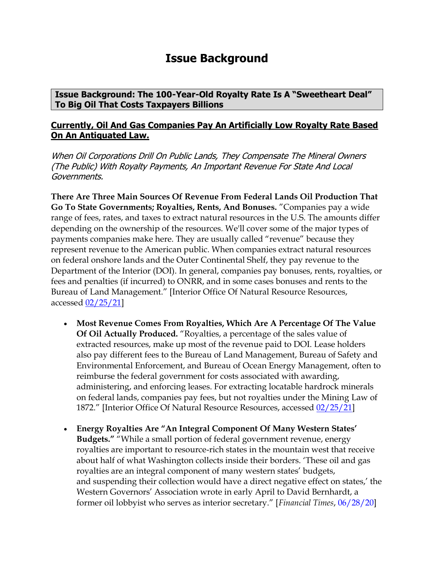# **Issue Background**

**Issue Background: The 100-Year-Old Royalty Rate Is A "Sweetheart Deal" To Big Oil That Costs Taxpayers Billions**

#### **Currently, Oil And Gas Companies Pay An Artificially Low Royalty Rate Based On An Antiquated Law.**

When Oil Corporations Drill On Public Lands, They Compensate The Mineral Owners (The Public) With Royalty Payments, An Important Revenue For State And Local Governments.

**There Are Three Main Sources Of Revenue From Federal Lands Oil Production That Go To State Governments; Royalties, Rents, And Bonuses.** "Companies pay a wide range of fees, rates, and taxes to extract natural resources in the U.S. The amounts differ depending on the ownership of the resources. We'll cover some of the major types of payments companies make here. They are usually called "revenue" because they represent revenue to the American public. When companies extract natural resources on federal onshore lands and the Outer Continental Shelf, they pay revenue to the Department of the Interior (DOI). In general, companies pay bonuses, rents, royalties, or fees and penalties (if incurred) to ONRR, and in some cases bonuses and rents to the Bureau of Land Management." [Interior Office Of Natural Resource Resources, accessed  $02/25/21$ ]

- **Most Revenue Comes From Royalties, Which Are A Percentage Of The Value Of Oil Actually Produced.** "Royalties, a percentage of the sales value of extracted resources, make up most of the revenue paid to DOI. Lease holders also pay different fees to the Bureau of Land Management, Bureau of Safety and Environmental Enforcement, and Bureau of Ocean Energy Management, often to reimburse the federal government for costs associated with awarding, administering, and enforcing leases. For extracting locatable hardrock minerals on federal lands, companies pay fees, but not royalties under the Mining Law of 1872." [Interior Office Of Natural Resource Resources, accessed  $\frac{02}{25/21}$ ]
- **Energy Royalties Are "An Integral Component Of Many Western States' Budgets."** "While a small portion of federal government revenue, energy royalties are important to resource-rich states in the mountain west that receive about half of what Washington collects inside their borders. 'These oil and gas royalties are an integral component of many western states' budgets, and suspending their collection would have a direct negative effect on states,' the Western Governors' Association wrote in early April to David Bernhardt, a former oil lobbyist who serves as interior secretary." [*Financial Times*, [06/28/20\]](https://www.ft.com/content/4d3d88c8-7eb6-4d06-bec0-c0ca8d91a045)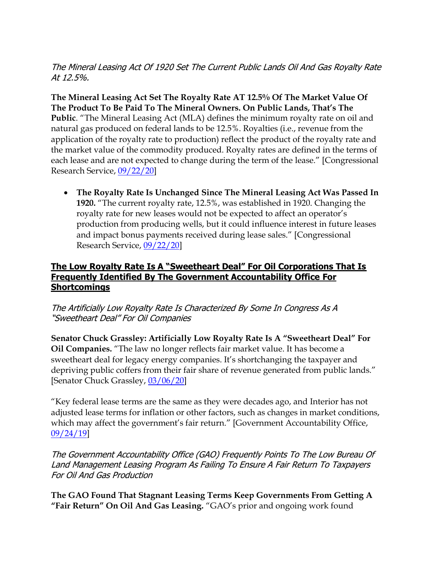The Mineral Leasing Act Of 1920 Set The Current Public Lands Oil And Gas Royalty Rate At 12.5%.

**The Mineral Leasing Act Set The Royalty Rate AT 12.5% Of The Market Value Of The Product To Be Paid To The Mineral Owners. On Public Lands, That's The Public**. "The Mineral Leasing Act (MLA) defines the minimum royalty rate on oil and natural gas produced on federal lands to be 12.5%. Royalties (i.e., revenue from the application of the royalty rate to production) reflect the product of the royalty rate and the market value of the commodity produced. Royalty rates are defined in the terms of each lease and are not expected to change during the term of the lease." [Congressional Research Service, [09/22/20\]](https://crsreports.congress.gov/product/pdf/R/R46537)

• **The Royalty Rate Is Unchanged Since The Mineral Leasing Act Was Passed In 1920.** "The current royalty rate, 12.5%, was established in 1920. Changing the royalty rate for new leases would not be expected to affect an operator's production from producing wells, but it could influence interest in future leases and impact bonus payments received during lease sales." [Congressional Research Service, [09/22/20\]](https://crsreports.congress.gov/product/pdf/R/R46537)

## **The Low Royalty Rate Is A "Sweetheart Deal" For Oil Corporations That Is Frequently Identified By The Government Accountability Office For Shortcomings**

The Artificially Low Royalty Rate Is Characterized By Some In Congress As A "Sweetheart Deal" For Oil Companies

**Senator Chuck Grassley: Artificially Low Royalty Rate Is A "Sweetheart Deal" For Oil Companies.** "The law no longer reflects fair market value. It has become a sweetheart deal for legacy energy companies. It's shortchanging the taxpayer and depriving public coffers from their fair share of revenue generated from public lands." [Senator Chuck Grassley, [03/06/20\]](https://www.grassley.senate.gov/news/news-releases/qa-big-oil-exploits-century-old-loophole)

"Key federal lease terms are the same as they were decades ago, and Interior has not adjusted lease terms for inflation or other factors, such as changes in market conditions, which may affect the government's fair return." [Government Accountability Office, [09/24/19\]](https://www.gao.gov/assets/gao-19-718t.pdf)

The Government Accountability Office (GAO) Frequently Points To The Low Bureau Of Land Management Leasing Program As Failing To Ensure A Fair Return To Taxpayers For Oil And Gas Production

**The GAO Found That Stagnant Leasing Terms Keep Governments From Getting A "Fair Return" On Oil And Gas Leasing.** "GAO's prior and ongoing work found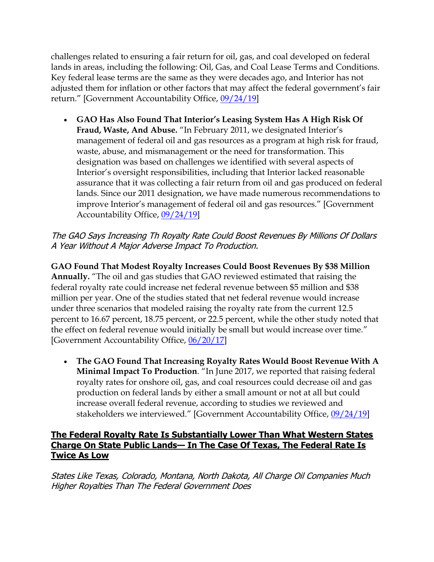challenges related to ensuring a fair return for oil, gas, and coal developed on federal lands in areas, including the following: Oil, Gas, and Coal Lease Terms and Conditions. Key federal lease terms are the same as they were decades ago, and Interior has not adjusted them for inflation or other factors that may affect the federal government's fair return." [Government Accountability Office, [09/24/19\]](https://www.gao.gov/assets/gao-19-718t.pdf)

• **GAO Has Also Found That Interior's Leasing System Has A High Risk Of Fraud, Waste, And Abuse.** "In February 2011, we designated Interior's management of federal oil and gas resources as a program at high risk for fraud, waste, abuse, and mismanagement or the need for transformation. This designation was based on challenges we identified with several aspects of Interior's oversight responsibilities, including that Interior lacked reasonable assurance that it was collecting a fair return from oil and gas produced on federal lands. Since our 2011 designation, we have made numerous recommendations to improve Interior's management of federal oil and gas resources." [Government Accountability Office, [09/24/19\]](https://www.gao.gov/assets/gao-19-718t.pdf)

## The GAO Says Increasing Th Royalty Rate Could Boost Revenues By Millions Of Dollars A Year Without A Major Adverse Impact To Production.

**GAO Found That Modest Royalty Increases Could Boost Revenues By \$38 Million Annually.** "The oil and gas studies that GAO reviewed estimated that raising the federal royalty rate could increase net federal revenue between \$5 million and \$38 million per year. One of the studies stated that net federal revenue would increase under three scenarios that modeled raising the royalty rate from the current 12.5 percent to 16.67 percent, 18.75 percent, or 22.5 percent, while the other study noted that the effect on federal revenue would initially be small but would increase over time." [Government Accountability Office, [06/20/17\]](https://www.gao.gov/assets/gao-17-540.pdf)

• **The GAO Found That Increasing Royalty Rates Would Boost Revenue With A Minimal Impact To Production**. "In June 2017, we reported that raising federal royalty rates for onshore oil, gas, and coal resources could decrease oil and gas production on federal lands by either a small amount or not at all but could increase overall federal revenue, according to studies we reviewed and stakeholders we interviewed." [Government Accountability Office, [09/24/19\]](https://www.gao.gov/assets/gao-19-718t.pdf)

## **The Federal Royalty Rate Is Substantially Lower Than What Western States Charge On State Public Lands— In The Case Of Texas, The Federal Rate Is Twice As Low**

States Like Texas, Colorado, Montana, North Dakota, All Charge Oil Companies Much Higher Royalties Than The Federal Government Does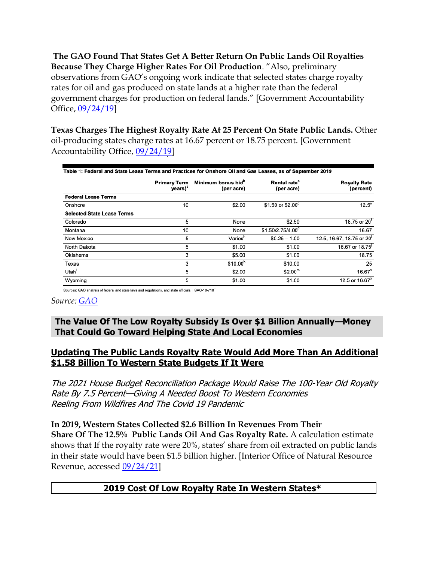**The GAO Found That States Get A Better Return On Public Lands Oil Royalties Because They Charge Higher Rates For Oil Production**. "Also, preliminary observations from GAO's ongoing work indicate that selected states charge royalty rates for oil and gas produced on state lands at a higher rate than the federal government charges for production on federal lands." [Government Accountability Office, [09/24/19\]](https://www.gao.gov/assets/gao-19-718t.pdf)

**Texas Charges The Highest Royalty Rate At 25 Percent On State Public Lands.** Other oil-producing states charge rates at 16.67 percent or 18.75 percent. [Government Accountability Office, [09/24/19\]](https://www.gao.gov/assets/gao-19-718t.pdf)

|                                   | <b>Primary Term</b><br>years) <sup>a</sup> | Minimum bonus bid <sup>b</sup><br>(per acre) | Rental rate <sup>c</sup><br>(per acre) | <b>Royalty Rate</b><br>(percent) |
|-----------------------------------|--------------------------------------------|----------------------------------------------|----------------------------------------|----------------------------------|
| <b>Federal Lease Terms</b>        |                                            |                                              |                                        |                                  |
| Onshore                           | 10                                         | \$2.00                                       | \$1.50 or \$2.00 <sup>d</sup>          | $12.5^\circ$                     |
| <b>Selected State Lease Terms</b> |                                            |                                              |                                        |                                  |
| Colorado                          | 5                                          | None                                         | \$2.50                                 | 18.75 or 20 <sup>f</sup>         |
| Montana                           | 10                                         | None                                         | \$1.50/2.75/4.00 <sup>9</sup>          | 16.67                            |
| New Mexico                        | 5                                          | Varies <sup>h</sup>                          | $$0.25 - 1.00$                         | 12.5, 16.67, 18.75 or 20         |
| North Dakota                      | 5                                          | \$1.00                                       | \$1.00                                 | 16.67 or 18.75                   |
| Oklahoma                          | 3                                          | \$5.00                                       | \$1.00                                 | 18.75                            |
| Texas                             | 3                                          | \$10.00                                      | \$10.00                                | 25                               |
| Utah <sup>1</sup>                 | 5                                          | \$2.00                                       | $$2.00^m$                              | 16.67 <sup>n</sup>               |
| Wyoming                           | 5                                          | \$1.00                                       | \$1.00                                 | 12.5 or 16.67°                   |

Sources: GAO analysis of federal and state laws and regulations, and state officials. | GAO-19-718T

#### *Source: [GAO](https://www.gao.gov/assets/gao-19-718t.pdf)*

**The Value Of The Low Royalty Subsidy Is Over \$1 Billion Annually—Money That Could Go Toward Helping State And Local Economies**

#### **Updating The Public Lands Royalty Rate Would Add More Than An Additional \$1.58 Billion To Western State Budgets If It Were**

The 2021 House Budget Reconciliation Package Would Raise The 100-Year Old Royalty Rate By 7.5 Percent—Giving A Needed Boost To Western Economies Reeling From Wildfires And The Covid 19 Pandemic

**In 2019, Western States Collected \$2.6 Billion In Revenues From Their Share Of The 12.5% Public Lands Oil And Gas Royalty Rate.** A calculation estimate shows that If the royalty rate were 20%, states' share from oil extracted on public lands in their state would have been \$1.5 billion higher. [Interior Office of Natural Resource Revenue, accessed  $\frac{09}{24/21}$ 

## **2019 Cost Of Low Royalty Rate In Western States\***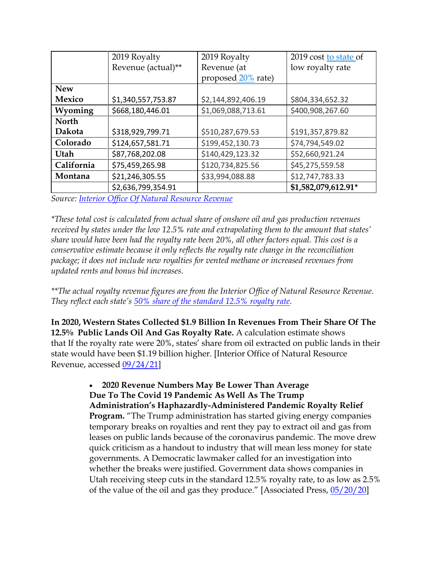|              | 2019 Royalty       | 2019 Royalty       | 2019 cost to state of |
|--------------|--------------------|--------------------|-----------------------|
|              | Revenue (actual)** | Revenue (at        | low royalty rate      |
|              |                    | proposed 20% rate) |                       |
| <b>New</b>   |                    |                    |                       |
| Mexico       | \$1,340,557,753.87 | \$2,144,892,406.19 | \$804,334,652.32      |
| Wyoming      | \$668,180,446.01   | \$1,069,088,713.61 | \$400,908,267.60      |
| <b>North</b> |                    |                    |                       |
| Dakota       | \$318,929,799.71   | \$510,287,679.53   | \$191,357,879.82      |
| Colorado     | \$124,657,581.71   | \$199,452,130.73   | \$74,794,549.02       |
| Utah         | \$87,768,202.08    | \$140,429,123.32   | \$52,660,921.24       |
| California   | \$75,459,265.98    | \$120,734,825.56   | \$45,275,559.58       |
| Montana      | \$21,246,305.55    | \$33,994,088.88    | \$12,747,783.33       |
|              | \$2,636,799,354.91 |                    | \$1,582,079,612.91*   |

*Source: [Interior Office Of Natural Resource Revenue](https://revenuedata.doi.gov/)*

*\*These total cost is calculated from actual share of onshore oil and gas production revenues received by states under the low 12.5% rate and extrapolating them to the amount that states' share would have been had the royalty rate been 20%, all other factors equal. This cost is a conservative estimate because it only reflects the royalty rate change in the reconciliation package; it does not include new royalties for vented methane or increased revenues from updated rents and bonus bid increases.*

*\*\*The actual royalty revenue figures are from the Interior Office of Natural Resource Revenue. They reflect each state's [50% share of the standard 12.5% royalty rate.](https://www.everycrsreport.com/files/2020-09-22_R46537_a7dc7a1cdb61406e0cd5344716eccaf9e960bc72.pdf)*

**In 2020, Western States Collected \$1.9 Billion In Revenues From Their Share Of The 12.5% Public Lands Oil And Gas Royalty Rate.** A calculation estimate shows that If the royalty rate were 20%, states' share from oil extracted on public lands in their state would have been \$1.19 billion higher. [Interior Office of Natural Resource Revenue, accessed [09/24/21\]](https://revenuedata.doi.gov/)

> • **2020 Revenue Numbers May Be Lower Than Average Due To The Covid 19 Pandemic As Well As The Trump Administration's Haphazardly-Administered Pandemic Royalty Relief Program.** "The Trump administration has started giving energy companies temporary breaks on royalties and rent they pay to extract oil and gas from leases on public lands because of the coronavirus pandemic. The move drew quick criticism as a handout to industry that will mean less money for state governments. A Democratic lawmaker called for an investigation into whether the breaks were justified. Government data shows companies in Utah receiving steep cuts in the standard 12.5% royalty rate, to as low as 2.5% of the value of the oil and gas they produce." [Associated Press, [05/20/20\]](https://apnews.com/article/nd-state-wire-virus-outbreak-us-news-billings-ut-state-wire-c82c1b9fefcfe083c8d29a7ecd65cc22)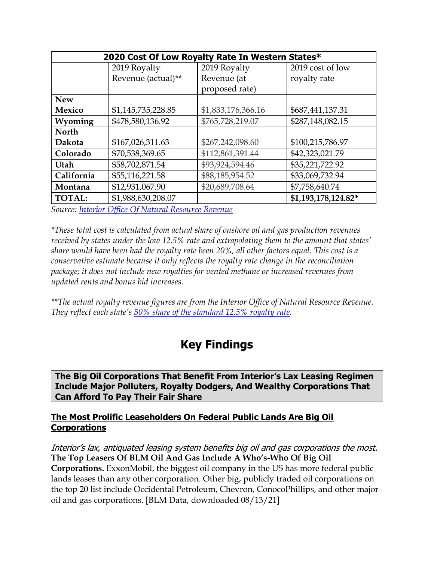| 2020 Cost Of Low Royalty Rate In Western States* |                    |                    |                     |  |
|--------------------------------------------------|--------------------|--------------------|---------------------|--|
|                                                  | 2019 Royalty       | 2019 Royalty       | 2019 cost of low    |  |
|                                                  | Revenue (actual)** | Revenue (at        | royalty rate        |  |
|                                                  |                    | proposed rate)     |                     |  |
| <b>New</b>                                       |                    |                    |                     |  |
| Mexico                                           | \$1,145,735,228.85 | \$1,833,176,366.16 | \$687,441,137.31    |  |
| Wyoming                                          | \$478,580,136.92   | \$765,728,219.07   | \$287,148,082.15    |  |
| <b>North</b>                                     |                    |                    |                     |  |
| Dakota                                           | \$167,026,311.63   | \$267,242,098.60   | \$100,215,786.97    |  |
| Colorado                                         | \$70,538,369.65    | \$112,861,391.44   | \$42,323,021.79     |  |
| Utah                                             | \$58,702,871.54    | \$93,924,594.46    | \$35,221,722.92     |  |
| California                                       | \$55,116,221.58    | \$88,185,954.52    | \$33,069,732.94     |  |
| Montana                                          | \$12,931,067.90    | \$20,689,708.64    | \$7,758,640.74      |  |
| <b>TOTAL:</b>                                    | \$1,988,630,208.07 |                    | \$1,193,178,124.82* |  |

*Source: [Interior Office Of Natural Resource Revenue](https://revenuedata.doi.gov/)*

*\*These total cost is calculated from actual share of onshore oil and gas production revenues received by states under the low 12.5% rate and extrapolating them to the amount that states' share would have been had the royalty rate been 20%, all other factors equal. This cost is a conservative estimate because it only reflects the royalty rate change in the reconciliation package; it does not include new royalties for vented methane or increased revenues from updated rents and bonus bid increases.*

*\*\*The actual royalty revenue figures are from the Interior Office of Natural Resource Revenue. They reflect each state's [50% share of the standard 12.5% royalty rate.](https://www.everycrsreport.com/files/2020-09-22_R46537_a7dc7a1cdb61406e0cd5344716eccaf9e960bc72.pdf)*

# **Key Findings**

**The Big Oil Corporations That Benefit From Interior's Lax Leasing Regimen Include Major Polluters, Royalty Dodgers, And Wealthy Corporations That Can Afford To Pay Their Fair Share**

#### **The Most Prolific Leaseholders On Federal Public Lands Are Big Oil Corporations**

Interior's lax, antiquated leasing system benefits big oil and gas corporations the most. **The Top Leasers Of BLM Oil And Gas Include A Who's-Who Of Big Oil Corporations.** ExxonMobil, the biggest oil company in the US has more federal public lands leases than any other corporation. Other big, publicly traded oil corporations on the top 20 list include Occidental Petroleum, Chevron, ConocoPhillips, and other major oil and gas corporations. [BLM Data, downloaded 08/13/21]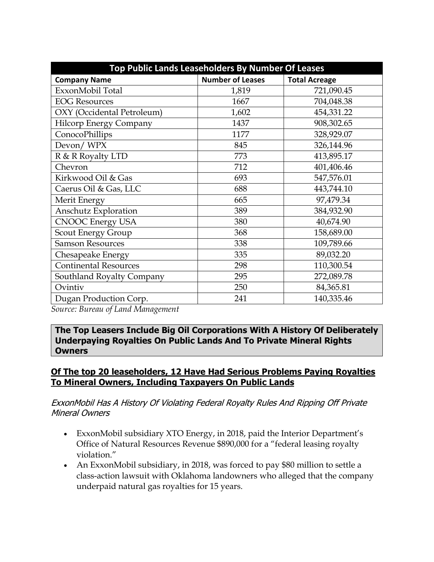| Top Public Lands Leaseholders By Number Of Leases |                         |                      |  |  |
|---------------------------------------------------|-------------------------|----------------------|--|--|
| <b>Company Name</b>                               | <b>Number of Leases</b> | <b>Total Acreage</b> |  |  |
| ExxonMobil Total                                  | 1,819                   | 721,090.45           |  |  |
| <b>EOG</b> Resources                              | 1667                    | 704,048.38           |  |  |
| OXY (Occidental Petroleum)                        | 1,602                   | 454,331.22           |  |  |
| <b>Hilcorp Energy Company</b>                     | 1437                    | 908,302.65           |  |  |
| ConocoPhillips                                    | 1177                    | 328,929.07           |  |  |
| Devon/WPX                                         | 845                     | 326,144.96           |  |  |
| R & R Royalty LTD                                 | 773                     | 413,895.17           |  |  |
| Chevron                                           | 712                     | 401,406.46           |  |  |
| Kirkwood Oil & Gas                                | 693                     | 547,576.01           |  |  |
| Caerus Oil & Gas, LLC                             | 688                     | 443,744.10           |  |  |
| Merit Energy                                      | 665                     | 97,479.34            |  |  |
| Anschutz Exploration                              | 389                     | 384,932.90           |  |  |
| <b>CNOOC Energy USA</b>                           | 380                     | 40,674.90            |  |  |
| Scout Energy Group                                | 368                     | 158,689.00           |  |  |
| <b>Samson Resources</b>                           | 338                     | 109,789.66           |  |  |
| Chesapeake Energy                                 | 335                     | 89,032.20            |  |  |
| <b>Continental Resources</b>                      | 298                     | 110,300.54           |  |  |
| Southland Royalty Company                         | 295                     | 272,089.78           |  |  |
| Ovintiv                                           | 250                     | 84,365.81            |  |  |
| Dugan Production Corp.                            | 241                     | 140,335.46           |  |  |

*Source: Bureau of Land Management*

#### **The Top Leasers Include Big Oil Corporations With A History Of Deliberately Underpaying Royalties On Public Lands And To Private Mineral Rights Owners**

#### **Of The top 20 leaseholders, 12 Have Had Serious Problems Paying Royalties To Mineral Owners, Including Taxpayers On Public Lands**

#### ExxonMobil Has A History Of Violating Federal Royalty Rules And Ripping Off Private Mineral Owners

- ExxonMobil subsidiary XTO Energy, in 2018, paid the Interior Department's Office of Natural Resources Revenue \$890,000 for a "federal leasing royalty violation."
- An ExxonMobil subsidiary, in 2018, was forced to pay \$80 million to settle a class-action lawsuit with Oklahoma landowners who alleged that the company underpaid natural gas royalties for 15 years.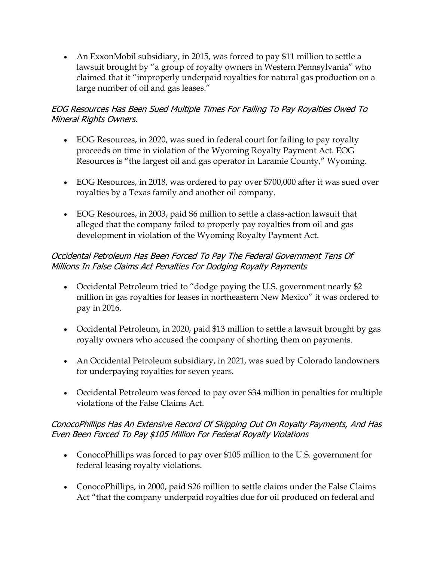• An ExxonMobil subsidiary, in 2015, was forced to pay \$11 million to settle a lawsuit brought by "a group of royalty owners in Western Pennsylvania" who claimed that it "improperly underpaid royalties for natural gas production on a large number of oil and gas leases."

#### EOG Resources Has Been Sued Multiple Times For Failing To Pay Royalties Owed To Mineral Rights Owners.

- EOG Resources, in 2020, was sued in federal court for failing to pay royalty proceeds on time in violation of the Wyoming Royalty Payment Act. EOG Resources is "the largest oil and gas operator in Laramie County," Wyoming.
- EOG Resources, in 2018, was ordered to pay over \$700,000 after it was sued over royalties by a Texas family and another oil company.
- EOG Resources, in 2003, paid \$6 million to settle a class-action lawsuit that alleged that the company failed to properly pay royalties from oil and gas development in violation of the Wyoming Royalty Payment Act.

### Occidental Petroleum Has Been Forced To Pay The Federal Government Tens Of Millions In False Claims Act Penalties For Dodging Royalty Payments

- Occidental Petroleum tried to "dodge paying the U.S. government nearly \$2 million in gas royalties for leases in northeastern New Mexico" it was ordered to pay in 2016.
- Occidental Petroleum, in 2020, paid \$13 million to settle a lawsuit brought by gas royalty owners who accused the company of shorting them on payments.
- An Occidental Petroleum subsidiary, in 2021, was sued by Colorado landowners for underpaying royalties for seven years.
- Occidental Petroleum was forced to pay over \$34 million in penalties for multiple violations of the False Claims Act.

## ConocoPhillips Has An Extensive Record Of Skipping Out On Royalty Payments, And Has Even Been Forced To Pay \$105 Million For Federal Royalty Violations

- ConocoPhillips was forced to pay over \$105 million to the U.S. government for federal leasing royalty violations.
- ConocoPhillips, in 2000, paid \$26 million to settle claims under the False Claims Act "that the company underpaid royalties due for oil produced on federal and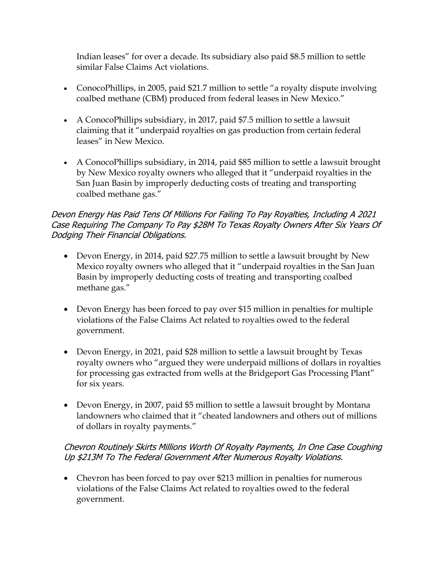Indian leases" for over a decade. Its subsidiary also paid \$8.5 million to settle similar False Claims Act violations.

- ConocoPhillips, in 2005, paid \$21.7 million to settle "a royalty dispute involving coalbed methane (CBM) produced from federal leases in New Mexico."
- A ConocoPhillips subsidiary, in 2017, paid \$7.5 million to settle a lawsuit claiming that it "underpaid royalties on gas production from certain federal leases" in New Mexico.
- A ConocoPhillips subsidiary, in 2014, paid \$85 million to settle a lawsuit brought by New Mexico royalty owners who alleged that it "underpaid royalties in the San Juan Basin by improperly deducting costs of treating and transporting coalbed methane gas."

#### Devon Energy Has Paid Tens Of Millions For Failing To Pay Royalties, Including A 2021 Case Requiring The Company To Pay \$28M To Texas Royalty Owners After Six Years Of Dodging Their Financial Obligations.

- Devon Energy, in 2014, paid \$27.75 million to settle a lawsuit brought by New Mexico royalty owners who alleged that it "underpaid royalties in the San Juan Basin by improperly deducting costs of treating and transporting coalbed methane gas."
- Devon Energy has been forced to pay over \$15 million in penalties for multiple violations of the False Claims Act related to royalties owed to the federal government.
- Devon Energy, in 2021, paid \$28 million to settle a lawsuit brought by Texas royalty owners who "argued they were underpaid millions of dollars in royalties for processing gas extracted from wells at the Bridgeport Gas Processing Plant" for six years.
- Devon Energy, in 2007, paid \$5 million to settle a lawsuit brought by Montana landowners who claimed that it "cheated landowners and others out of millions of dollars in royalty payments."

## Chevron Routinely Skirts Millions Worth Of Royalty Payments, In One Case Coughing Up \$213M To The Federal Government After Numerous Royalty Violations.

• Chevron has been forced to pay over \$213 million in penalties for numerous violations of the False Claims Act related to royalties owed to the federal government.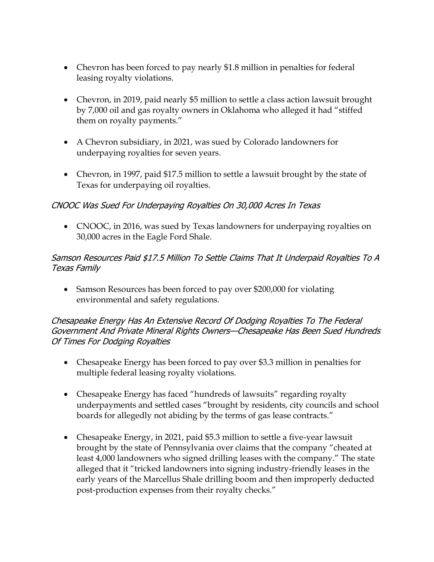- Chevron has been forced to pay nearly \$1.8 million in penalties for federal leasing royalty violations.
- Chevron, in 2019, paid nearly \$5 million to settle a class action lawsuit brought by 7,000 oil and gas royalty owners in Oklahoma who alleged it had "stiffed them on royalty payments."
- A Chevron subsidiary, in 2021, was sued by Colorado landowners for underpaying royalties for seven years.
- Chevron, in 1997, paid \$17.5 million to settle a lawsuit brought by the state of Texas for underpaying oil royalties.

#### CNOOC Was Sued For Underpaying Royalties On 30,000 Acres In Texas

• CNOOC, in 2016, was sued by Texas landowners for underpaying royalties on 30,000 acres in the Eagle Ford Shale.

#### Samson Resources Paid \$17.5 Million To Settle Claims That It Underpaid Royalties To A Texas Family

• Samson Resources has been forced to pay over \$200,000 for violating environmental and safety regulations.

#### Chesapeake Energy Has An Extensive Record Of Dodging Royalties To The Federal Government And Private Mineral Rights Owners—Chesapeake Has Been Sued Hundreds Of Times For Dodging Royalties

- Chesapeake Energy has been forced to pay over \$3.3 million in penalties for multiple federal leasing royalty violations.
- Chesapeake Energy has faced "hundreds of lawsuits" regarding royalty underpayments and settled cases "brought by residents, city councils and school boards for allegedly not abiding by the terms of gas lease contracts."
- Chesapeake Energy, in 2021, paid \$5.3 million to settle a five-year lawsuit brought by the state of Pennsylvania over claims that the company "cheated at least 4,000 landowners who signed drilling leases with the company." The state alleged that it "tricked landowners into signing industry-friendly leases in the early years of the Marcellus Shale drilling boom and then improperly deducted post-production expenses from their royalty checks."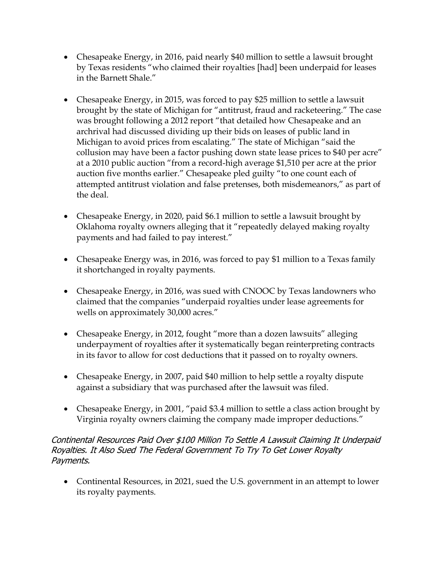- Chesapeake Energy, in 2016, paid nearly \$40 million to settle a lawsuit brought by Texas residents "who claimed their royalties [had] been underpaid for leases in the Barnett Shale."
- Chesapeake Energy, in 2015, was forced to pay \$25 million to settle a lawsuit brought by the state of Michigan for "antitrust, fraud and racketeering." The case was brought following a 2012 report "that detailed how Chesapeake and an archrival had discussed dividing up their bids on leases of public land in Michigan to avoid prices from escalating." The state of Michigan "said the collusion may have been a factor pushing down state lease prices to \$40 per acre" at a 2010 public auction "from a record-high average \$1,510 per acre at the prior auction five months earlier." Chesapeake pled guilty "to one count each of attempted antitrust violation and false pretenses, both misdemeanors," as part of the deal.
- Chesapeake Energy, in 2020, paid \$6.1 million to settle a lawsuit brought by Oklahoma royalty owners alleging that it "repeatedly delayed making royalty payments and had failed to pay interest."
- Chesapeake Energy was, in 2016, was forced to pay \$1 million to a Texas family it shortchanged in royalty payments.
- Chesapeake Energy, in 2016, was sued with CNOOC by Texas landowners who claimed that the companies "underpaid royalties under lease agreements for wells on approximately 30,000 acres."
- Chesapeake Energy, in 2012, fought "more than a dozen lawsuits" alleging underpayment of royalties after it systematically began reinterpreting contracts in its favor to allow for cost deductions that it passed on to royalty owners.
- Chesapeake Energy, in 2007, paid \$40 million to help settle a royalty dispute against a subsidiary that was purchased after the lawsuit was filed.
- Chesapeake Energy, in 2001, "paid \$3.4 million to settle a class action brought by Virginia royalty owners claiming the company made improper deductions."

#### Continental Resources Paid Over \$100 Million To Settle A Lawsuit Claiming It Underpaid Royalties. It Also Sued The Federal Government To Try To Get Lower Royalty Payments.

• Continental Resources, in 2021, sued the U.S. government in an attempt to lower its royalty payments.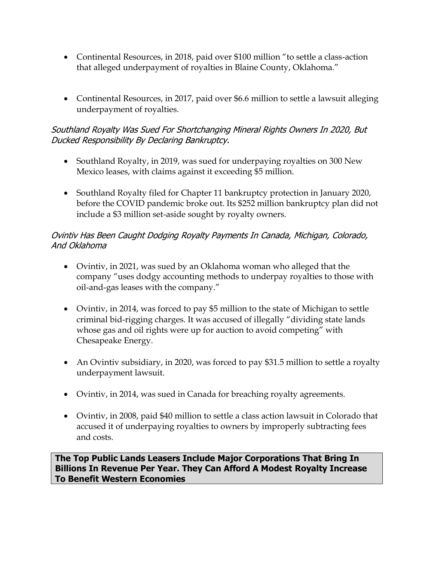- Continental Resources, in 2018, paid over \$100 million "to settle a class-action that alleged underpayment of royalties in Blaine County, Oklahoma."
- Continental Resources, in 2017, paid over \$6.6 million to settle a lawsuit alleging underpayment of royalties.

#### Southland Royalty Was Sued For Shortchanging Mineral Rights Owners In 2020, But Ducked Responsibility By Declaring Bankruptcy.

- Southland Royalty, in 2019, was sued for underpaying royalties on 300 New Mexico leases, with claims against it exceeding \$5 million.
- Southland Royalty filed for Chapter 11 bankruptcy protection in January 2020, before the COVID pandemic broke out. Its \$252 million bankruptcy plan did not include a \$3 million set-aside sought by royalty owners.

## Ovintiv Has Been Caught Dodging Royalty Payments In Canada, Michigan, Colorado, And Oklahoma

- Ovintiv, in 2021, was sued by an Oklahoma woman who alleged that the company "uses dodgy accounting methods to underpay royalties to those with oil-and-gas leases with the company."
- Ovintiv, in 2014, was forced to pay \$5 million to the state of Michigan to settle criminal bid-rigging charges. It was accused of illegally "dividing state lands whose gas and oil rights were up for auction to avoid competing" with Chesapeake Energy.
- An Ovintiv subsidiary, in 2020, was forced to pay \$31.5 million to settle a royalty underpayment lawsuit.
- Ovintiv, in 2014, was sued in Canada for breaching royalty agreements.
- Ovintiv, in 2008, paid \$40 million to settle a class action lawsuit in Colorado that accused it of underpaying royalties to owners by improperly subtracting fees and costs.

**The Top Public Lands Leasers Include Major Corporations That Bring In Billions In Revenue Per Year. They Can Afford A Modest Royalty Increase To Benefit Western Economies**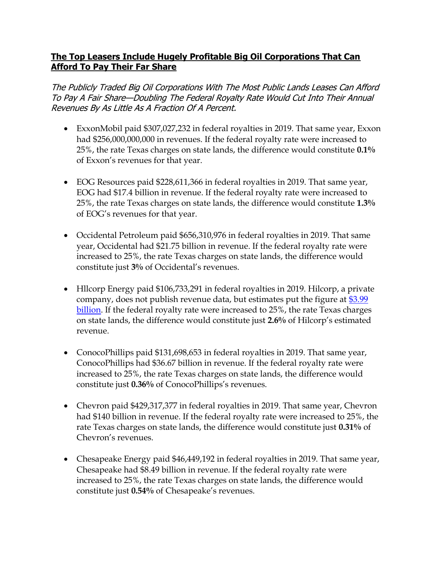#### **The Top Leasers Include Hugely Profitable Big Oil Corporations That Can Afford To Pay Their Far Share**

The Publicly Traded Big Oil Corporations With The Most Public Lands Leases Can Afford To Pay A Fair Share—Doubling The Federal Royalty Rate Would Cut Into Their Annual Revenues By As Little As A Fraction Of A Percent.

- ExxonMobil paid \$307,027,232 in federal royalties in 2019. That same year, Exxon had \$256,000,000,000 in revenues. If the federal royalty rate were increased to 25%, the rate Texas charges on state lands, the difference would constitute **0.1%**  of Exxon's revenues for that year.
- EOG Resources paid \$228,611,366 in federal royalties in 2019. That same year, EOG had \$17.4 billion in revenue. If the federal royalty rate were increased to 25%, the rate Texas charges on state lands, the difference would constitute **1.3%** of EOG's revenues for that year.
- Occidental Petroleum paid \$656,310,976 in federal royalties in 2019. That same year, Occidental had \$21.75 billion in revenue. If the federal royalty rate were increased to 25%, the rate Texas charges on state lands, the difference would constitute just **3%** of Occidental's revenues.
- Hllcorp Energy paid \$106,733,291 in federal royalties in 2019. Hilcorp, a private company, does not publish revenue data, but estimates put the figure at  $$3.99$ [billion.](https://www.petroleumnews.com/pntruncate/316634420.shtml) If the federal royalty rate were increased to 25%, the rate Texas charges on state lands, the difference would constitute just **2.6%** of Hilcorp's estimated revenue.
- ConocoPhillips paid \$131,698,653 in federal royalties in 2019. That same year, ConocoPhillips had \$36.67 billion in revenue. If the federal royalty rate were increased to 25%, the rate Texas charges on state lands, the difference would constitute just **0.36%** of ConocoPhillips's revenues.
- Chevron paid \$429,317,377 in federal royalties in 2019. That same year, Chevron had \$140 billion in revenue. If the federal royalty rate were increased to 25%, the rate Texas charges on state lands, the difference would constitute just **0.31%** of Chevron's revenues.
- Chesapeake Energy paid \$46,449,192 in federal royalties in 2019. That same year, Chesapeake had \$8.49 billion in revenue. If the federal royalty rate were increased to 25%, the rate Texas charges on state lands, the difference would constitute just **0.54%** of Chesapeake's revenues.